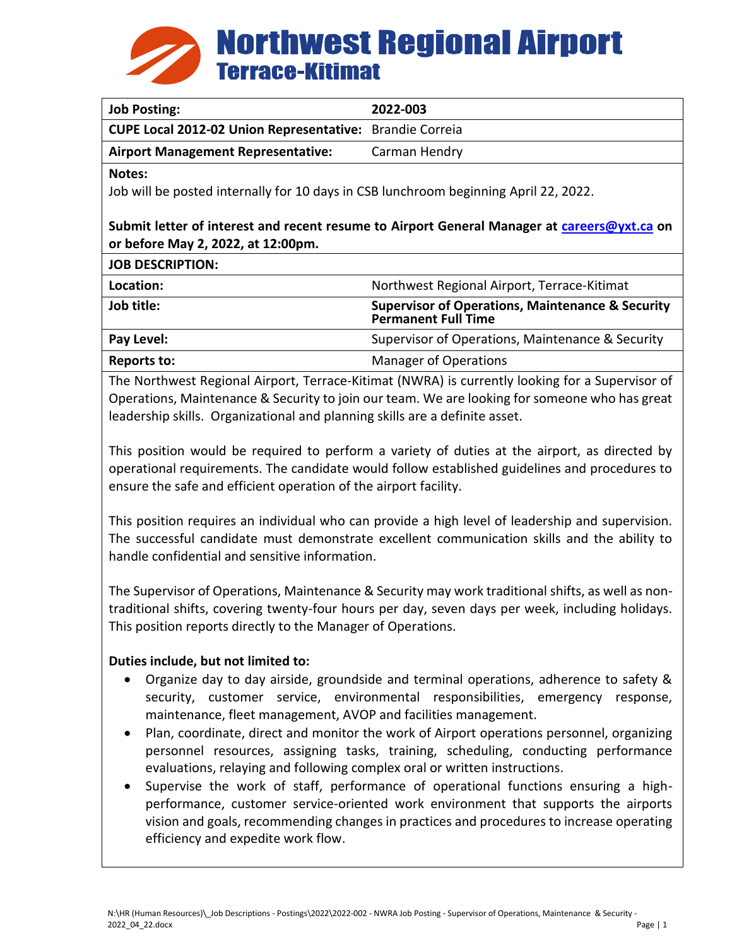

| <b>Job Posting:</b>                                                                                                                                                                                                                 | 2022-003                                                                                  |
|-------------------------------------------------------------------------------------------------------------------------------------------------------------------------------------------------------------------------------------|-------------------------------------------------------------------------------------------|
| <b>CUPE Local 2012-02 Union Representative:</b>                                                                                                                                                                                     | <b>Brandie Correia</b>                                                                    |
| <b>Airport Management Representative:</b>                                                                                                                                                                                           | Carman Hendry                                                                             |
| Notes:<br>Job will be posted internally for 10 days in CSB lunchroom beginning April 22, 2022.<br>Submit letter of interest and recent resume to Airport General Manager at careers@yxt.ca on<br>or before May 2, 2022, at 12:00pm. |                                                                                           |
| <b>JOB DESCRIPTION:</b>                                                                                                                                                                                                             |                                                                                           |
| Location:                                                                                                                                                                                                                           | Northwest Regional Airport, Terrace-Kitimat                                               |
| Job title:                                                                                                                                                                                                                          | <b>Supervisor of Operations, Maintenance &amp; Security</b><br><b>Permanent Full Time</b> |
| Pay Level:                                                                                                                                                                                                                          | Supervisor of Operations, Maintenance & Security                                          |
| <b>Reports to:</b>                                                                                                                                                                                                                  | <b>Manager of Operations</b>                                                              |
|                                                                                                                                                                                                                                     |                                                                                           |

The Northwest Regional Airport, Terrace-Kitimat (NWRA) is currently looking for a Supervisor of Operations, Maintenance & Security to join our team. We are looking for someone who has great leadership skills. Organizational and planning skills are a definite asset.

This position would be required to perform a variety of duties at the airport, as directed by operational requirements. The candidate would follow established guidelines and procedures to ensure the safe and efficient operation of the airport facility.

This position requires an individual who can provide a high level of leadership and supervision. The successful candidate must demonstrate excellent communication skills and the ability to handle confidential and sensitive information.

The Supervisor of Operations, Maintenance & Security may work traditional shifts, as well as nontraditional shifts, covering twenty-four hours per day, seven days per week, including holidays. This position reports directly to the Manager of Operations.

### **Duties include, but not limited to:**

- Organize day to day airside, groundside and terminal operations, adherence to safety & security, customer service, environmental responsibilities, emergency response, maintenance, fleet management, AVOP and facilities management.
- Plan, coordinate, direct and monitor the work of Airport operations personnel, organizing personnel resources, assigning tasks, training, scheduling, conducting performance evaluations, relaying and following complex oral or written instructions.
- Supervise the work of staff, performance of operational functions ensuring a highperformance, customer service-oriented work environment that supports the airports vision and goals, recommending changes in practices and procedures to increase operating efficiency and expedite work flow.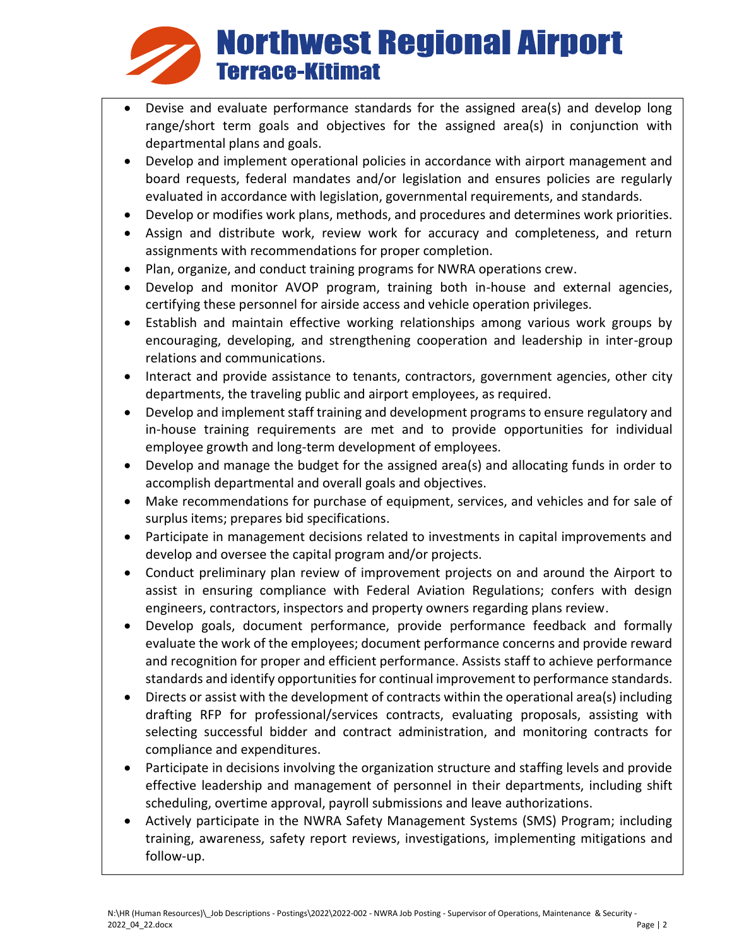# **Northwest Regional Airport Terrace-Kitimat**

- Devise and evaluate performance standards for the assigned area(s) and develop long range/short term goals and objectives for the assigned area(s) in conjunction with departmental plans and goals.
- Develop and implement operational policies in accordance with airport management and board requests, federal mandates and/or legislation and ensures policies are regularly evaluated in accordance with legislation, governmental requirements, and standards.
- Develop or modifies work plans, methods, and procedures and determines work priorities.
- Assign and distribute work, review work for accuracy and completeness, and return assignments with recommendations for proper completion.
- Plan, organize, and conduct training programs for NWRA operations crew.
- Develop and monitor AVOP program, training both in-house and external agencies, certifying these personnel for airside access and vehicle operation privileges.
- Establish and maintain effective working relationships among various work groups by encouraging, developing, and strengthening cooperation and leadership in inter-group relations and communications.
- Interact and provide assistance to tenants, contractors, government agencies, other city departments, the traveling public and airport employees, as required.
- Develop and implement staff training and development programs to ensure regulatory and in-house training requirements are met and to provide opportunities for individual employee growth and long-term development of employees.
- Develop and manage the budget for the assigned area(s) and allocating funds in order to accomplish departmental and overall goals and objectives.
- Make recommendations for purchase of equipment, services, and vehicles and for sale of surplus items; prepares bid specifications.
- Participate in management decisions related to investments in capital improvements and develop and oversee the capital program and/or projects.
- Conduct preliminary plan review of improvement projects on and around the Airport to assist in ensuring compliance with Federal Aviation Regulations; confers with design engineers, contractors, inspectors and property owners regarding plans review.
- Develop goals, document performance, provide performance feedback and formally evaluate the work of the employees; document performance concerns and provide reward and recognition for proper and efficient performance. Assists staff to achieve performance standards and identify opportunities for continual improvement to performance standards.
- Directs or assist with the development of contracts within the operational area(s) including drafting RFP for professional/services contracts, evaluating proposals, assisting with selecting successful bidder and contract administration, and monitoring contracts for compliance and expenditures.
- Participate in decisions involving the organization structure and staffing levels and provide effective leadership and management of personnel in their departments, including shift scheduling, overtime approval, payroll submissions and leave authorizations.
- Actively participate in the NWRA Safety Management Systems (SMS) Program; including training, awareness, safety report reviews, investigations, implementing mitigations and follow-up.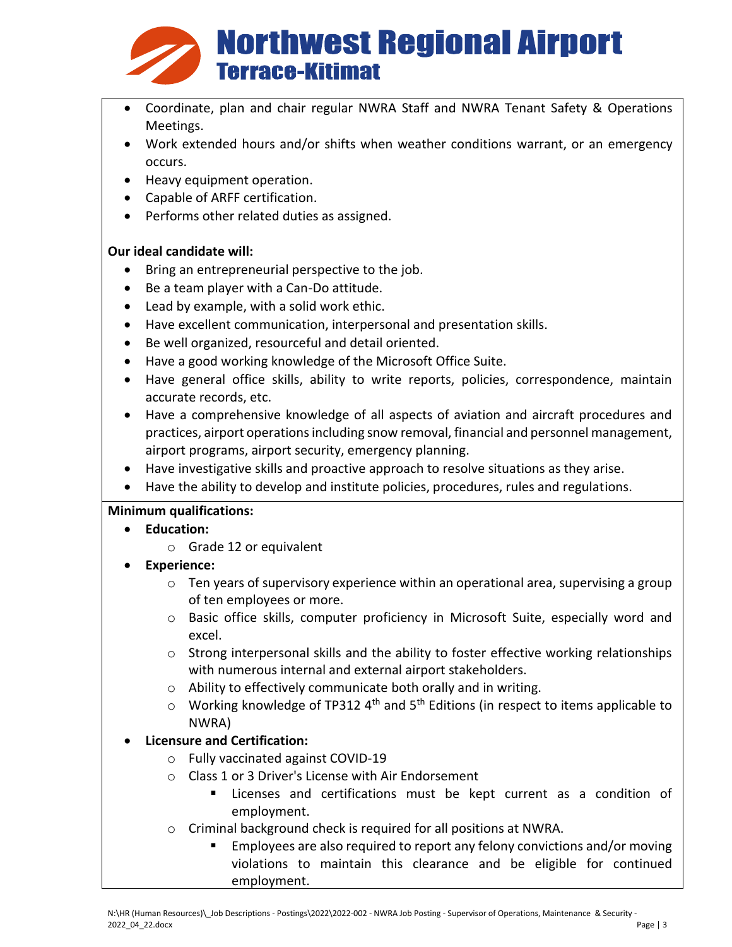

- Coordinate, plan and chair regular NWRA Staff and NWRA Tenant Safety & Operations Meetings.
- Work extended hours and/or shifts when weather conditions warrant, or an emergency occurs.
- Heavy equipment operation.
- Capable of ARFF certification.
- Performs other related duties as assigned.

### **Our ideal candidate will:**

- Bring an entrepreneurial perspective to the job.
- Be a team player with a Can-Do attitude.
- Lead by example, with a solid work ethic.
- Have excellent communication, interpersonal and presentation skills.
- Be well organized, resourceful and detail oriented.
- Have a good working knowledge of the Microsoft Office Suite.
- Have general office skills, ability to write reports, policies, correspondence, maintain accurate records, etc.
- Have a comprehensive knowledge of all aspects of aviation and aircraft procedures and practices, airport operations including snow removal, financial and personnel management, airport programs, airport security, emergency planning.
- Have investigative skills and proactive approach to resolve situations as they arise.
- Have the ability to develop and institute policies, procedures, rules and regulations.

### **Minimum qualifications:**

- **Education:**
	- o Grade 12 or equivalent
- **Experience:**
	- $\circ$  Ten years of supervisory experience within an operational area, supervising a group of ten employees or more.
	- o Basic office skills, computer proficiency in Microsoft Suite, especially word and excel.
	- $\circ$  Strong interpersonal skills and the ability to foster effective working relationships with numerous internal and external airport stakeholders.
	- o Ability to effectively communicate both orally and in writing.
	- $\circ$  Working knowledge of TP312 4<sup>th</sup> and 5<sup>th</sup> Editions (in respect to items applicable to NWRA)

## • **Licensure and Certification:**

- o Fully vaccinated against COVID-19
- o Class 1 or 3 Driver's License with Air Endorsement
	- Licenses and certifications must be kept current as a condition of employment.
- o Criminal background check is required for all positions at NWRA.
	- Employees are also required to report any felony convictions and/or moving violations to maintain this clearance and be eligible for continued employment.